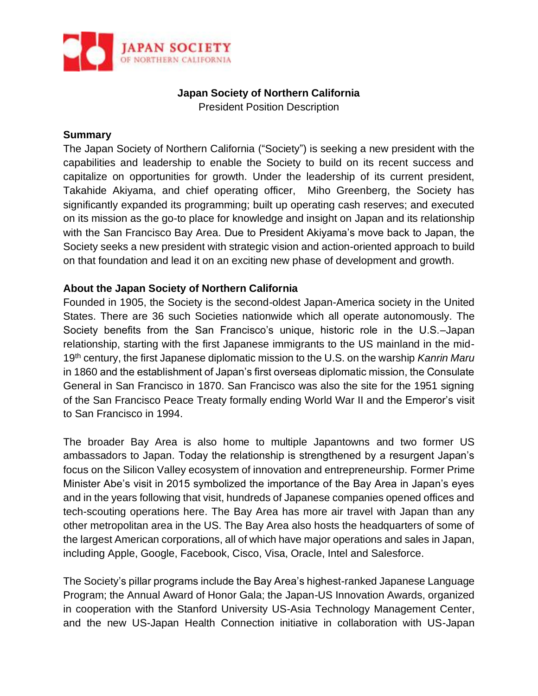

# **Japan Society of Northern California**

President Position Description

#### **Summary**

The Japan Society of Northern California ("Society") is seeking a new president with the capabilities and leadership to enable the Society to build on its recent success and capitalize on opportunities for growth. Under the leadership of its current president, Takahide Akiyama, and chief operating officer, Miho Greenberg, the Society has significantly expanded its programming; built up operating cash reserves; and executed on its mission as the go-to place for knowledge and insight on Japan and its relationship with the San Francisco Bay Area. Due to President Akiyama's move back to Japan, the Society seeks a new president with strategic vision and action-oriented approach to build on that foundation and lead it on an exciting new phase of development and growth.

#### **About the Japan Society of Northern California**

Founded in 1905, the Society is the second-oldest Japan-America society in the United States. There are 36 such Societies nationwide which all operate autonomously. The Society benefits from the San Francisco's unique, historic role in the U.S.–Japan relationship, starting with the first Japanese immigrants to the US mainland in the mid-19th century, the first Japanese diplomatic mission to the U.S. on the warship *Kanrin Maru* in 1860 and the establishment of Japan's first overseas diplomatic mission, the Consulate General in San Francisco in 1870. San Francisco was also the site for the 1951 signing of the San Francisco Peace Treaty formally ending World War II and the Emperor's visit to San Francisco in 1994.

The broader Bay Area is also home to multiple Japantowns and two former US ambassadors to Japan. Today the relationship is strengthened by a resurgent Japan's focus on the Silicon Valley ecosystem of innovation and entrepreneurship. Former Prime Minister Abe's visit in 2015 symbolized the importance of the Bay Area in Japan's eyes and in the years following that visit, hundreds of Japanese companies opened offices and tech-scouting operations here. The Bay Area has more air travel with Japan than any other metropolitan area in the US. The Bay Area also hosts the headquarters of some of the largest American corporations, all of which have major operations and sales in Japan, including Apple, Google, Facebook, Cisco, Visa, Oracle, Intel and Salesforce.

The Society's pillar programs include the Bay Area's highest-ranked Japanese Language Program; the Annual Award of Honor Gala; the Japan-US Innovation Awards, organized in cooperation with the Stanford University US-Asia Technology Management Center, and the new US-Japan Health Connection initiative in collaboration with US-Japan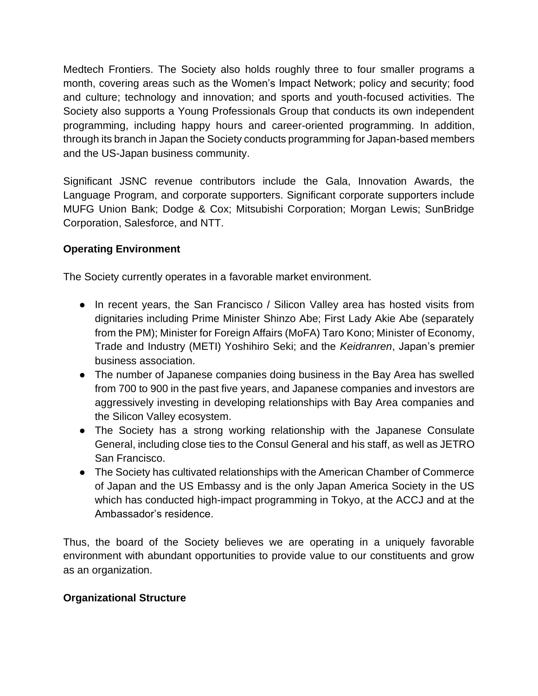Medtech Frontiers. The Society also holds roughly three to four smaller programs a month, covering areas such as the Women's Impact Network; policy and security; food and culture; technology and innovation; and sports and youth-focused activities. The Society also supports a Young Professionals Group that conducts its own independent programming, including happy hours and career-oriented programming. In addition, through its branch in Japan the Society conducts programming for Japan-based members and the US-Japan business community.

Significant JSNC revenue contributors include the Gala, Innovation Awards, the Language Program, and corporate supporters. Significant corporate supporters include MUFG Union Bank; Dodge & Cox; Mitsubishi Corporation; Morgan Lewis; SunBridge Corporation, Salesforce, and NTT.

## **Operating Environment**

The Society currently operates in a favorable market environment.

- In recent years, the San Francisco / Silicon Valley area has hosted visits from dignitaries including Prime Minister Shinzo Abe; First Lady Akie Abe (separately from the PM); Minister for Foreign Affairs (MoFA) Taro Kono; Minister of Economy, Trade and Industry (METI) Yoshihiro Seki; and the *Keidranren*, Japan's premier business association.
- The number of Japanese companies doing business in the Bay Area has swelled from 700 to 900 in the past five years, and Japanese companies and investors are aggressively investing in developing relationships with Bay Area companies and the Silicon Valley ecosystem.
- The Society has a strong working relationship with the Japanese Consulate General, including close ties to the Consul General and his staff, as well as JETRO San Francisco.
- The Society has cultivated relationships with the American Chamber of Commerce of Japan and the US Embassy and is the only Japan America Society in the US which has conducted high-impact programming in Tokyo, at the ACCJ and at the Ambassador's residence.

Thus, the board of the Society believes we are operating in a uniquely favorable environment with abundant opportunities to provide value to our constituents and grow as an organization.

#### **Organizational Structure**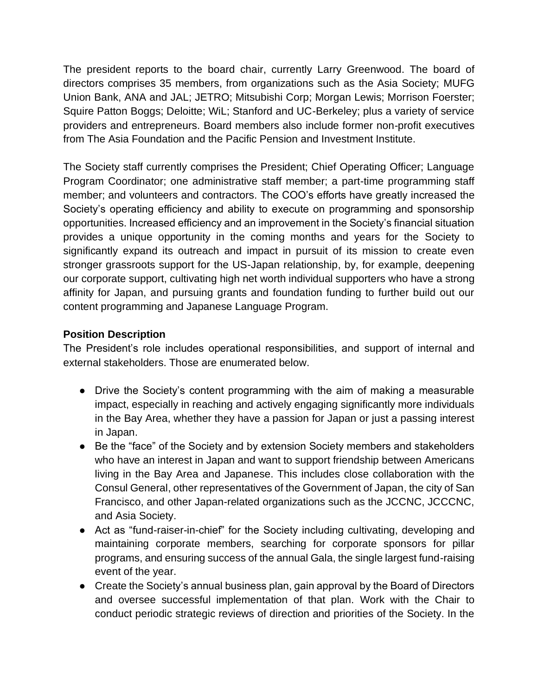The president reports to the board chair, currently Larry Greenwood. The board of directors comprises 35 members, from organizations such as the Asia Society; MUFG Union Bank, ANA and JAL; JETRO; Mitsubishi Corp; Morgan Lewis; Morrison Foerster; Squire Patton Boggs; Deloitte; WiL; Stanford and UC-Berkeley; plus a variety of service providers and entrepreneurs. Board members also include former non-profit executives from The Asia Foundation and the Pacific Pension and Investment Institute.

The Society staff currently comprises the President; Chief Operating Officer; Language Program Coordinator; one administrative staff member; a part-time programming staff member; and volunteers and contractors. The COO's efforts have greatly increased the Society's operating efficiency and ability to execute on programming and sponsorship opportunities. Increased efficiency and an improvement in the Society's financial situation provides a unique opportunity in the coming months and years for the Society to significantly expand its outreach and impact in pursuit of its mission to create even stronger grassroots support for the US-Japan relationship, by, for example, deepening our corporate support, cultivating high net worth individual supporters who have a strong affinity for Japan, and pursuing grants and foundation funding to further build out our content programming and Japanese Language Program.

#### **Position Description**

The President's role includes operational responsibilities, and support of internal and external stakeholders. Those are enumerated below.

- Drive the Society's content programming with the aim of making a measurable impact, especially in reaching and actively engaging significantly more individuals in the Bay Area, whether they have a passion for Japan or just a passing interest in Japan.
- Be the "face" of the Society and by extension Society members and stakeholders who have an interest in Japan and want to support friendship between Americans living in the Bay Area and Japanese. This includes close collaboration with the Consul General, other representatives of the Government of Japan, the city of San Francisco, and other Japan-related organizations such as the JCCNC, JCCCNC, and Asia Society.
- Act as "fund-raiser-in-chief" for the Society including cultivating, developing and maintaining corporate members, searching for corporate sponsors for pillar programs, and ensuring success of the annual Gala, the single largest fund-raising event of the year.
- Create the Society's annual business plan, gain approval by the Board of Directors and oversee successful implementation of that plan. Work with the Chair to conduct periodic strategic reviews of direction and priorities of the Society. In the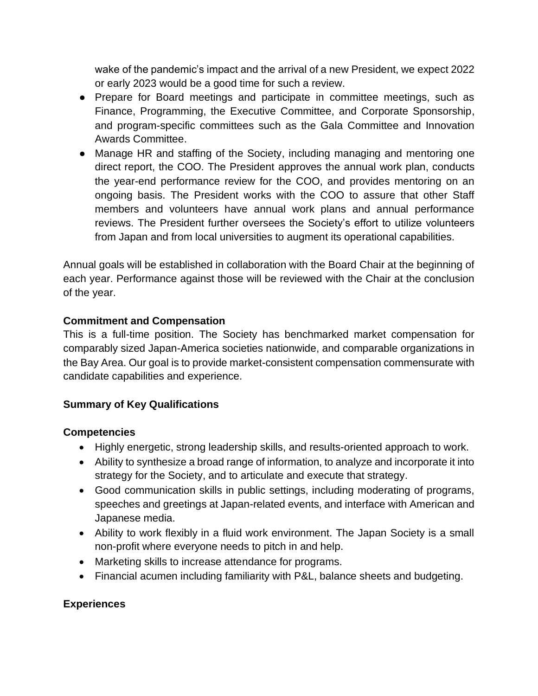wake of the pandemic's impact and the arrival of a new President, we expect 2022 or early 2023 would be a good time for such a review.

- Prepare for Board meetings and participate in committee meetings, such as Finance, Programming, the Executive Committee, and Corporate Sponsorship, and program-specific committees such as the Gala Committee and Innovation Awards Committee.
- Manage HR and staffing of the Society, including managing and mentoring one direct report, the COO. The President approves the annual work plan, conducts the year-end performance review for the COO, and provides mentoring on an ongoing basis. The President works with the COO to assure that other Staff members and volunteers have annual work plans and annual performance reviews. The President further oversees the Society's effort to utilize volunteers from Japan and from local universities to augment its operational capabilities.

Annual goals will be established in collaboration with the Board Chair at the beginning of each year. Performance against those will be reviewed with the Chair at the conclusion of the year.

#### **Commitment and Compensation**

This is a full-time position. The Society has benchmarked market compensation for comparably sized Japan-America societies nationwide, and comparable organizations in the Bay Area. Our goal is to provide market-consistent compensation commensurate with candidate capabilities and experience.

#### **Summary of Key Qualifications**

#### **Competencies**

- Highly energetic, strong leadership skills, and results-oriented approach to work.
- Ability to synthesize a broad range of information, to analyze and incorporate it into strategy for the Society, and to articulate and execute that strategy.
- Good communication skills in public settings, including moderating of programs, speeches and greetings at Japan-related events, and interface with American and Japanese media.
- Ability to work flexibly in a fluid work environment. The Japan Society is a small non-profit where everyone needs to pitch in and help.
- Marketing skills to increase attendance for programs.
- Financial acumen including familiarity with P&L, balance sheets and budgeting.

## **Experiences**